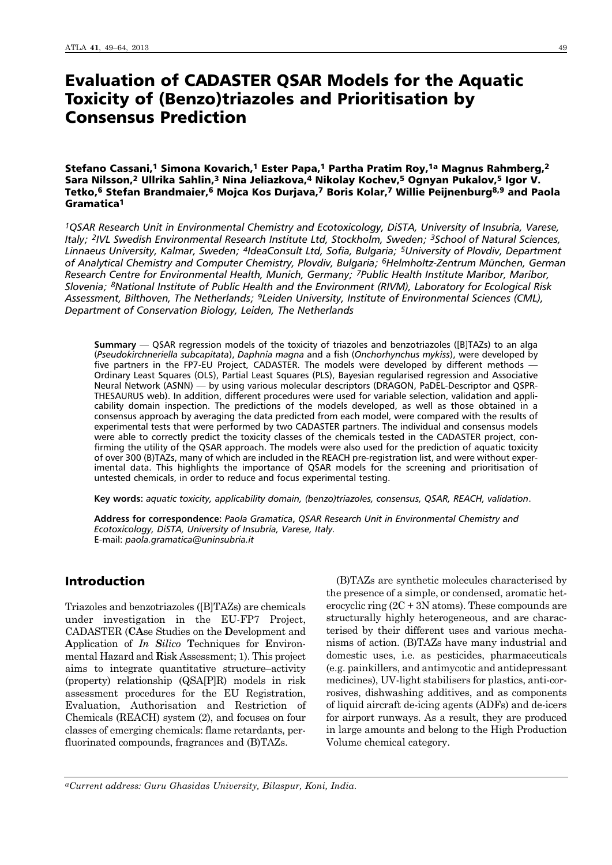# Evaluation of CADASTER QSAR Models for the Aquatic Toxicity of (Benzo)triazoles and Prioritisation by Consensus Prediction

## Stefano Cassani,<sup>1</sup> Simona Kovarich,<sup>1</sup> Ester Papa,<sup>1</sup> Partha Pratim Roy,<sup>1a</sup> Magnus Rahmberg,<sup>2</sup> Sara Nilsson,<sup>2</sup> Ullrika Sahlin,<sup>3</sup> Nina Jeliazkova,<sup>4</sup> Nikolay Kochev,<sup>5</sup> Ognyan Pukalov,<sup>5</sup> Igor V. Tetko,6 Stefan Brandmaier,6 Mojca Kos Durjava,7 Boris Kolar,7 Willie Peijnenburg8,9 and Paola Gramatica1

*1QSAR Research Unit in Environmental Chemistry and Ecotoxicology, DiSTA, University of Insubria, Varese, Italy; 2IVL Swedish Environmental Research Institute Ltd, Stockholm, Sweden; 3School of Natural Sciences, Linnaeus University, Kalmar, Sweden; 4IdeaConsult Ltd, Sofia, Bulgaria; 5University of Plovdiv, Department of Analytical Chemistry and Computer Chemistry, Plovdiv, Bulgaria; 6Helmholtz-Zentrum München, German Research Centre for Environmental Health, Munich, Germany; 7Public Health Institute Maribor, Maribor, Slovenia; 8National Institute of Public Health and the Environment (RIVM), Laboratory for Ecological Risk Assessment, Bilthoven, The Netherlands; 9Leiden University, Institute of Environmental Sciences (CML), Department of Conservation Biology, Leiden, The Netherlands*

**Summary** — QSAR regression models of the toxicity of triazoles and benzotriazoles ([B]TAZs) to an alga (*Pseudokirchneriella subcapitata*), *Daphnia magna* and a fish (*Onchorhynchus mykiss*), were developed by five partners in the FP7-EU Project, CADASTER. The models were developed by different methods — Ordinary Least Squares (OLS), Partial Least Squares (PLS), Bayesian regularised regression and Associative Neural Network (ASNN) — by using various molecular descriptors (DRAGON, PaDEL-Descriptor and QSPR-THESAURUS web). In addition, different procedures were used for variable selection, validation and applicability domain inspection. The predictions of the models developed, as well as those obtained in a consensus approach by averaging the data predicted from each model, were compared with the results of experimental tests that were performed by two CADASTER partners. The individual and consensus models were able to correctly predict the toxicity classes of the chemicals tested in the CADASTER project, confirming the utility of the QSAR approach. The models were also used for the prediction of aquatic toxicity of over 300 (B)TAZs, many of which are included in the REACH pre-registration list, and were without experimental data. This highlights the importance of QSAR models for the screening and prioritisation of untested chemicals, in order to reduce and focus experimental testing.

**Key words:** *aquatic toxicity, applicability domain, (benzo)triazoles, consensus, QSAR, REACH, validation*.

**Address for correspondence:** *Paola Gramatica***,** *QSAR Research Unit in Environmental Chemistry and Ecotoxicology, DiSTA, University of Insubria, Varese, Italy.* E-mail: *paola.gramatica@uninsubria.it*

# Introduction

Triazoles and benzotriazoles ([B]TAZs) are chemicals under investigation in the EU-FP7 Project, CADASTER (**CA**se Studies on the **D**evelopment and **A**pplication of *In Silico* **T**echniques for **E**nviron mental Hazard and **R**isk Assessment; 1). This project aims to integrate quantitative structure–activity (property) relationship (QSA[P]R) models in risk assessment procedures for the EU Registration, Evaluation, Authorisation and Restriction of Chemicals (REACH) system (2), and focuses on four classes of emerging chemicals: flame retardants, perfluorinated compounds, fragrances and (B)TAZs.

(B)TAZs are synthetic molecules characterised by the presence of a simple, or condensed, aromatic heterocyclic ring  $(2C + 3N \text{ atoms})$ . These compounds are structurally highly heterogeneous, and are characterised by their different uses and various mechanisms of action. (B)TAZs have many industrial and domestic uses, i.e. as pesticides, pharmaceuticals (e.g. painkillers, and antimycotic and antidepressant medicines), UV-light stabilisers for plastics, anti-corrosives, dishwashing additives, and as components of liquid aircraft de-icing agents (ADFs) and de-icers for airport runways. As a result, they are produced in large amounts and belong to the High Production Volume chemical category.

*aCurrent address: Guru Ghasidas University, Bilaspur, Koni, India*.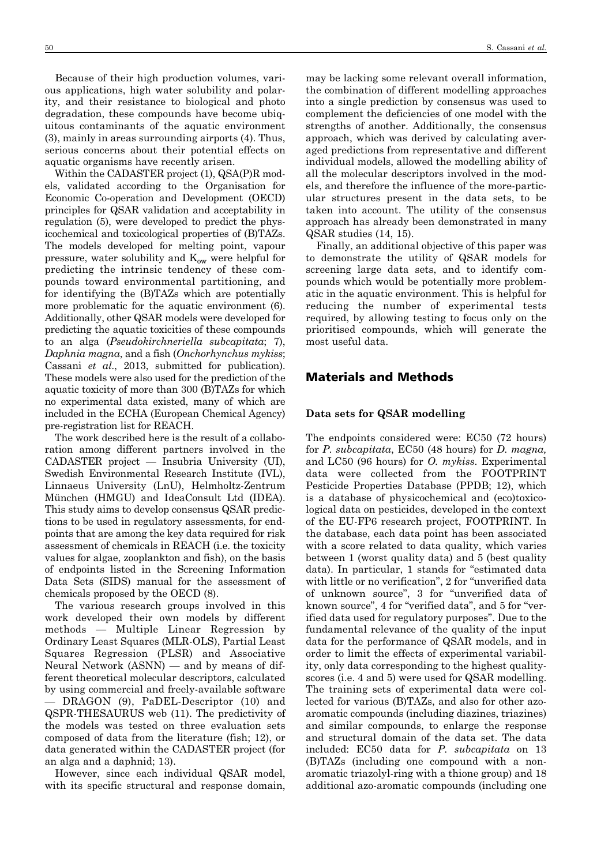Because of their high production volumes, various applications, high water solubility and polarity, and their resistance to biological and photo degradation, these compounds have become ubiquitous contaminants of the aquatic environment (3), mainly in areas surrounding airports (4). Thus, serious concerns about their potential effects on aquatic organisms have recently arisen.

Within the CADASTER project (1), QSA(P)R models, validated according to the Organisation for Economic Co-operation and Development (OECD) principles for QSAR validation and acceptability in regulation (5), were developed to predict the physicochemical and toxicological properties of (B)TAZs. The models developed for melting point, vapour pressure, water solubility and  $K_{ow}$  were helpful for predicting the intrinsic tendency of these compounds toward environmental partitioning, and for identifying the (B)TAZs which are potentially more problematic for the aquatic environment (6). Additionally, other QSAR models were developed for predicting the aquatic toxicities of these compounds to an alga (*Pseudokirchneriella subcapitata*; 7), *Daphnia magna*, and a fish (*Onchorhynchus mykiss*; Cassani *et al*., 2013, submitted for publication). These models were also used for the prediction of the aquatic toxicity of more than 300 (B)TAZs for which no experimental data existed, many of which are included in the ECHA (European Chemical Agency) pre-registration list for REACH.

The work described here is the result of a collaboration among different partners involved in the CADASTER project — Insubria University (UI), Swedish Environmental Research Institute (IVL), Linnaeus University (LnU), Helmholtz-Zentrum München (HMGU) and IdeaConsult Ltd (IDEA). This study aims to develop consensus QSAR predictions to be used in regulatory assessments, for endpoints that are among the key data required for risk assessment of chemicals in REACH (i.e. the toxicity values for algae, zooplankton and fish), on the basis of endpoints listed in the Screening Information Data Sets (SIDS) manual for the assessment of chemicals proposed by the OECD (8).

The various research groups involved in this work developed their own models by different methods — Multiple Linear Regression by Ordinary Least Squares (MLR-OLS), Partial Least Squares Regression (PLSR) and Associative Neural Network (ASNN) — and by means of different theoretical molecular descriptors, calculated by using commercial and freely-available software DRAGON (9), PaDEL-Descriptor (10) and QSPR-THESAURUS web (11). The predictivity of the models was tested on three evaluation sets composed of data from the literature (fish; 12), or data generated within the CADASTER project (for an alga and a daphnid; 13).

However, since each individual QSAR model, with its specific structural and response domain, may be lacking some relevant overall information, the combination of different modelling approaches into a single prediction by consensus was used to complement the deficiencies of one model with the strengths of another. Additionally, the consensus approach, which was derived by calculating averaged predictions from representative and different individual models, allowed the modelling ability of all the molecular descriptors involved in the models, and therefore the influence of the more-particular structures present in the data sets, to be taken into account. The utility of the consensus approach has already been demonstrated in many QSAR studies (14, 15).

Finally, an additional objective of this paper was to demonstrate the utility of QSAR models for screening large data sets, and to identify compounds which would be potentially more problematic in the aquatic environment. This is helpful for reducing the number of experimental tests required, by allowing testing to focus only on the prioritised compounds, which will generate the most useful data.

# Materials and Methods

#### **Data sets for QSAR modelling**

The endpoints considered were: EC50 (72 hours) for *P. subcapitata*, EC50 (48 hours) for *D. magna,* and LC50 (96 hours) for *O. mykiss*. Experimental data were collected from the FOOTPRINT Pesticide Properties Database (PPDB; 12), which is a database of physicochemical and (eco)toxicological data on pesticides, developed in the context of the EU-FP6 research project, FOOTPRINT. In the database, each data point has been associated with a score related to data quality, which varies between 1 (worst quality data) and 5 (best quality data). In particular, 1 stands for "estimated data with little or no verification", 2 for "unverified data of unknown source", 3 for "unverified data of known source", 4 for "verified data", and 5 for "verified data used for regulatory purposes". Due to the fundamental relevance of the quality of the input data for the performance of QSAR models, and in order to limit the effects of experimental variability, only data corresponding to the highest qualityscores (i.e. 4 and 5) were used for QSAR modelling. The training sets of experimental data were collected for various (B)TAZs, and also for other azoaromatic compounds (including diazines, triazines) and similar compounds, to enlarge the response and structural domain of the data set. The data included: EC50 data for *P. subcapitata* on 13 (B)TAZs (including one compound with a nonaromatic triazolyl-ring with a thione group) and 18 additional azo-aromatic compounds (including one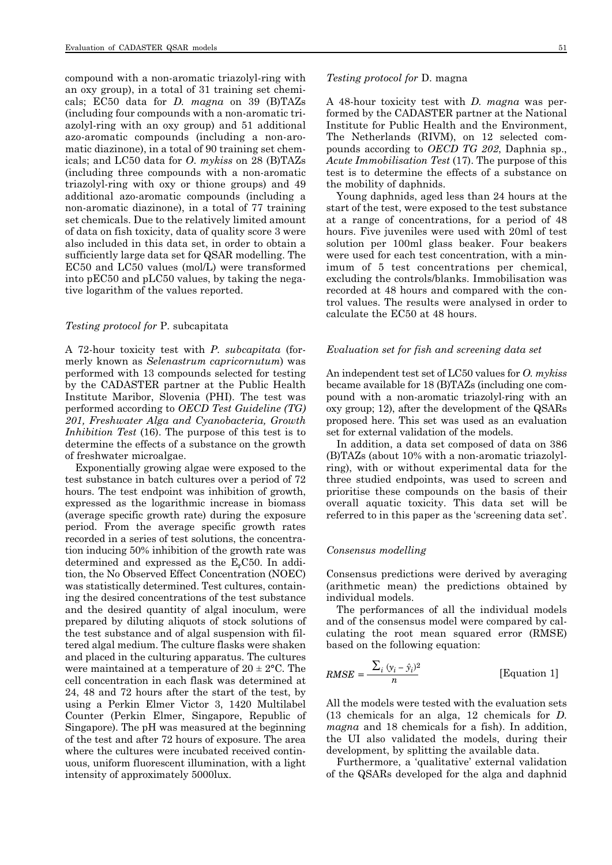compound with a non-aromatic triazolyl-ring with an oxy group), in a total of 31 training set chemicals; EC50 data for *D. magna* on 39 (B)TAZs (including four compounds with a non-aromatic triazolyl-ring with an oxy group) and 51 additional azo-aromatic compounds (including a non-aromatic diazinone), in a total of 90 training set chemicals; and LC50 data for *O*. *mykiss* on 28 (B)TAZs (including three compounds with a non-aromatic triazolyl-ring with oxy or thione groups) and 49 additional azo-aromatic compounds (including a non-aromatic diazinone), in a total of 77 training set chemicals. Due to the relatively limited amount of data on fish toxicity, data of quality score 3 were also included in this data set, in order to obtain a sufficiently large data set for QSAR modelling. The EC50 and LC50 values (mol/L) were transformed into pEC50 and pLC50 values, by taking the negative logarithm of the values reported.

#### *Testing protocol for* P. subcapitata

A 72-hour toxicity test with *P. subcapitata* (formerly known as *Selenastrum capricornutum*) was performed with 13 compounds selected for testing by the CADASTER partner at the Public Health Institute Maribor, Slovenia (PHI). The test was performed according to *OECD Test Guideline (TG) 201, Freshwater Alga and Cyanobacteria, Growth Inhibition Test* (16). The purpose of this test is to determine the effects of a substance on the growth of freshwater microalgae.

Exponentially growing algae were exposed to the test substance in batch cultures over a period of 72 hours. The test endpoint was inhibition of growth, expressed as the logarithmic increase in biomass (average specific growth rate) during the exposure period. From the average specific growth rates recorded in a series of test solutions, the concentration inducing 50% inhibition of the growth rate was determined and expressed as the  $E<sub>r</sub>$ C50. In addition, the No Observed Effect Concentration (NOEC) was statistically determined. Test cultures, containing the desired concentrations of the test substance and the desired quantity of algal inoculum, were prepared by diluting aliquots of stock solutions of the test substance and of algal suspension with filtered algal medium. The culture flasks were shaken and placed in the culturing apparatus. The cultures were maintained at a temperature of  $20 \pm 2^{\circ}$ C. The cell concentration in each flask was determined at 24, 48 and 72 hours after the start of the test, by using a Perkin Elmer Victor 3, 1420 Multilabel Counter (Perkin Elmer, Singapore, Republic of Singapore). The pH was measured at the beginning of the test and after 72 hours of exposure. The area where the cultures were incubated received continuous, uniform fluorescent illumination, with a light intensity of approximately 5000lux.

#### *Testing protocol for* D. magna

A 48-hour toxicity test with *D. magna* was performed by the CADASTER partner at the National Institute for Public Health and the Environment, The Netherlands (RIVM), on 12 selected compounds according to *OECD TG 202*, Daphnia sp., *Acute Immobilisation Test* (17). The purpose of this test is to determine the effects of a substance on the mobility of daphnids.

Young daphnids, aged less than 24 hours at the start of the test, were exposed to the test substance at a range of concentrations, for a period of 48 hours. Five juveniles were used with 20ml of test solution per 100ml glass beaker. Four beakers were used for each test concentration, with a minimum of 5 test concentrations per chemical, excluding the controls/blanks. Immobilisation was recorded at 48 hours and compared with the control values. The results were analysed in order to calculate the EC50 at 48 hours.

#### *Evaluation set for fish and screening data set*

An independent test set of LC50 values for *O. mykiss* became available for 18 (B)TAZs (including one compound with a non-aromatic triazolyl-ring with an oxy group; 12), after the development of the QSARs proposed here. This set was used as an evaluation set for external validation of the models.

In addition, a data set composed of data on 386 (B)TAZs (about 10% with a non-aromatic triazolylring), with or without experimental data for the three studied endpoints, was used to screen and prioritise these compounds on the basis of their overall aquatic toxicity. This data set will be referred to in this paper as the 'screening data set'.

#### *Consensus modelling*

Consensus predictions were derived by averaging (arithmetic mean) the predictions obtained by individual models.

The performances of all the individual models and of the consensus model were compared by calculating the root mean squared error (RMSE) based on the following equation:

$$
RMSE = \frac{\sum_{i} (y_i - \hat{y}_i)^2}{n}
$$
 [Equation 1]

All the models were tested with the evaluation sets (13 chemicals for an alga, 12 chemicals for *D*. *magna* and 18 chemicals for a fish). In addition, the UI also validated the models, during their development, by splitting the available data.

Furthermore, a 'qualitative' external validation of the QSARs developed for the alga and daphnid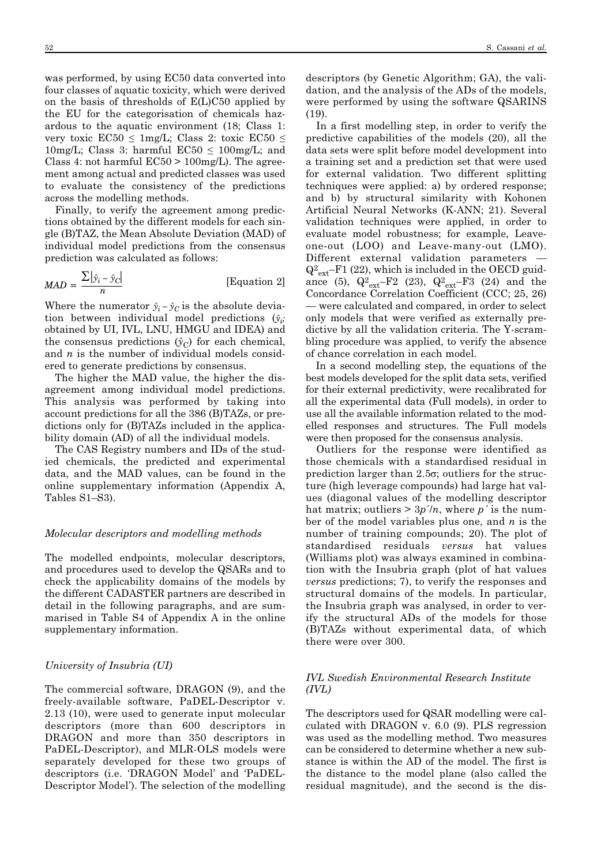was performed, by using EC50 data converted into four classes of aquatic toxicity, which were derived on the basis of thresholds of E(L)C50 applied by the EU for the categorisation of chemicals hazardous to the aquatic environment (18; Class 1: very toxic  $EC50 \leq 1$ mg/L; Class 2: toxic  $EC50 \leq$ 10mg/L; Class 3: harmful  $EC50 \le 100$ mg/L; and Class 4: not harmful  $EC50 > 100$ mg/L). The agreement among actual and predicted classes was used to evaluate the consistency of the predictions across the modelling methods.

Finally, to verify the agreement among predictions obtained by the different models for each single (B)TAZ, the Mean Absolute Deviation (MAD) of individual model predictions from the consensus prediction was calculated as follows:

$$
MAD = \frac{\sum |\hat{y}_i - \hat{y}_C|}{n}
$$
 [Equation 2]

Where the numerator  $\hat{y}_i - \hat{y}_C$  is the absolute deviation between individual model productions  $\hat{\beta}$ : tion between individual model predictions (*ŷi;* obtained by UI, IVL, LNU, HMGU and IDEA) and the consensus predictions  $(\hat{y}_C)$  for each chemical, and *n* is the number of individual models considered to generate predictions by consensus.

The higher the MAD value, the higher the disagreement among individual model predictions. This analysis was performed by taking into account predictions for all the 386 (B)TAZs, or predictions only for (B)TAZs included in the applicability domain (AD) of all the individual models.

The CAS Registry numbers and IDs of the studied chemicals, the predicted and experimental data, and the MAD values, can be found in the online supplementary information (Appendix A, Tables S1–S3).

### *Molecular descriptors and modelling methods*

The modelled endpoints, molecular descriptors, and procedures used to develop the QSARs and to check the applicability domains of the models by the different CADASTER partners are described in detail in the following paragraphs, and are summarised in Table S4 of Appendix A in the online supplementary information.

#### *University of Insubria (UI)*

The commercial software, DRAGON (9), and the freely-available software, PaDEL-Descriptor v. 2.13 (10), were used to generate input molecular descriptors (more than 600 descriptors in DRAGON and more than 350 descriptors in PaDEL-Descriptor), and MLR-OLS models were separately developed for these two groups of descriptors (i.e. 'DRAGON Model' and 'PaDEL-Descriptor Model'). The selection of the modelling descriptors (by Genetic Algorithm; GA), the validation, and the analysis of the ADs of the models, were performed by using the software QSARINS (19).

In a first modelling step, in order to verify the predictive capabilities of the models (20), all the data sets were split before model development into a training set and a prediction set that were used for external validation. Two different splitting techniques were applied: a) by ordered response; and b) by structural similarity with Kohonen Artificial Neural Networks (K-ANN; 21). Several validation techniques were applied, in order to evaluate model robustness; for example, Leaveone-out (LOO) and Leave-many-out (LMO). Different external validation parameters —  $Q^2_{ext}$ –F1 (22), which is included in the OECD guidance (5),  $Q_{ext}^2-F2$  (23),  $Q_{ext}^2-F3$  (24) and the Concordance Correlation Coefficient (CCC; 25, 26) — were calculated and compared, in order to select only models that were verified as externally predictive by all the validation criteria. The Y-scrambling procedure was applied, to verify the absence of chance correlation in each model.

In a second modelling step, the equations of the best models developed for the split data sets, verified for their external predictivity, were recalibrated for all the experimental data (Full models), in order to use all the available information related to the modelled responses and structures. The Full models were then proposed for the consensus analysis.

Outliers for the response were identified as those chemicals with a standardised residual in prediction larger than 2.5σ; outliers for the structure (high leverage compounds) had large hat values (diagonal values of the modelling descriptor hat matrix; outliers  $> 3p'/n$ , where p' is the number of the model variables plus one, and *n* is the number of training compounds; 20). The plot of standardised residuals *versus* hat values (Williams plot) was always examined in combination with the Insubria graph (plot of hat values *versus* predictions; 7), to verify the responses and structural domains of the models. In particular, the Insubria graph was analysed, in order to verify the structural ADs of the models for those (B)TAZs without experimental data, of which there were over 300.

# *IVL Swedish Environmental Research Institute (IVL)*

The descriptors used for QSAR modelling were calculated with DRAGON v. 6.0 (9). PLS regression was used as the modelling method. Two measures can be considered to determine whether a new substance is within the AD of the model. The first is the distance to the model plane (also called the residual magnitude), and the second is the dis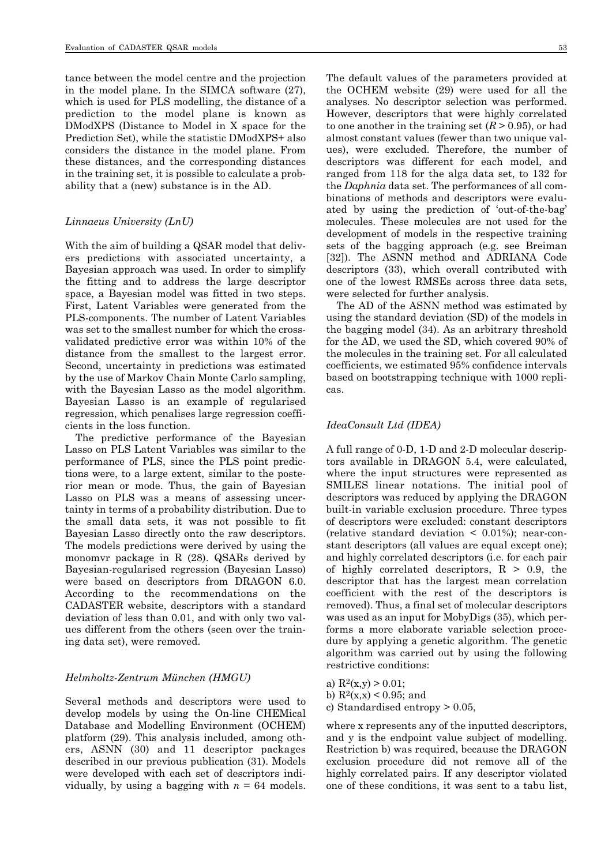tance between the model centre and the projection in the model plane. In the SIMCA software (27), which is used for PLS modelling, the distance of a prediction to the model plane is known as DModXPS (Distance to Model in X space for the Prediction Set), while the statistic DModXPS+ also considers the distance in the model plane. From these distances, and the corresponding distances in the training set, it is possible to calculate a probability that a (new) substance is in the AD.

#### *Linnaeus University (LnU)*

With the aim of building a QSAR model that delivers predictions with associated uncertainty, a Bayesian approach was used. In order to simplify the fitting and to address the large descriptor space, a Bayesian model was fitted in two steps. First, Latent Variables were generated from the PLS-components. The number of Latent Variables was set to the smallest number for which the crossvalidated predictive error was within 10% of the distance from the smallest to the largest error. Second, uncertainty in predictions was estimated by the use of Markov Chain Monte Carlo sampling, with the Bayesian Lasso as the model algorithm. Bayesian Lasso is an example of regularised regression, which penalises large regression coefficients in the loss function.

The predictive performance of the Bayesian Lasso on PLS Latent Variables was similar to the performance of PLS, since the PLS point predictions were, to a large extent, similar to the posterior mean or mode. Thus, the gain of Bayesian Lasso on PLS was a means of assessing uncertainty in terms of a probability distribution. Due to the small data sets, it was not possible to fit Bayesian Lasso directly onto the raw descriptors. The models predictions were derived by using the monomvr package in R (28). QSARs derived by Bayesian-regularised regression (Bayesian Lasso) were based on descriptors from DRAGON 6.0. According to the recommendations on the CADASTER website, descriptors with a standard deviation of less than 0.01, and with only two values different from the others (seen over the training data set), were removed.

#### *Helmholtz-Zentrum München (HMGU)*

Several methods and descriptors were used to develop models by using the On-line CHEMical Database and Modelling Environment (OCHEM) platform (29). This analysis included, among others, ASNN (30) and 11 descriptor packages described in our previous publication (31). Models were developed with each set of descriptors individually, by using a bagging with  $n = 64$  models. The default values of the parameters provided at the OCHEM website (29) were used for all the analyses. No descriptor selection was performed. However, descriptors that were highly correlated to one another in the training set  $(R > 0.95)$ , or had almost constant values (fewer than two unique values), were excluded. Therefore, the number of descriptors was different for each model, and ranged from 118 for the alga data set, to 132 for the *Daphnia* data set. The performances of all combinations of methods and descriptors were evalu-

ated by using the prediction of 'out-of-the-bag' molecules. These molecules are not used for the development of models in the respective training sets of the bagging approach (e.g. see Breiman [32]). The ASNN method and ADRIANA Code descriptors (33), which overall contributed with one of the lowest RMSEs across three data sets, were selected for further analysis.

The AD of the ASNN method was estimated by using the standard deviation (SD) of the models in the bagging model (34). As an arbitrary threshold for the AD, we used the SD, which covered 90% of the molecules in the training set. For all calculated coefficients, we estimated 95% confidence intervals based on bootstrapping technique with 1000 replicas.

#### *IdeaConsult Ltd (IDEA)*

A full range of 0-D, 1-D and 2-D molecular descriptors available in DRAGON 5.4, were calculated, where the input structures were represented as SMILES linear notations. The initial pool of descriptors was reduced by applying the DRAGON built-in variable exclusion procedure. Three types of descriptors were excluded: constant descriptors (relative standard deviation  $\leq$  0.01%); near-constant descriptors (all values are equal except one); and highly correlated descriptors (i.e. for each pair of highly correlated descriptors,  $R > 0.9$ , the descriptor that has the largest mean correlation coefficient with the rest of the descriptors is removed). Thus, a final set of molecular descriptors was used as an input for MobyDigs (35), which performs a more elaborate variable selection procedure by applying a genetic algorithm. The genetic algorithm was carried out by using the following restrictive conditions:

- a)  $R^2(x,y) > 0.01$ ;
- b)  $R^2(x,x) < 0.95$ ; and
- c) Standardised entropy > 0.05,

where x represents any of the inputted descriptors, and y is the endpoint value subject of modelling. Restriction b) was required, because the DRAGON exclusion procedure did not remove all of the highly correlated pairs. If any descriptor violated one of these conditions, it was sent to a tabu list,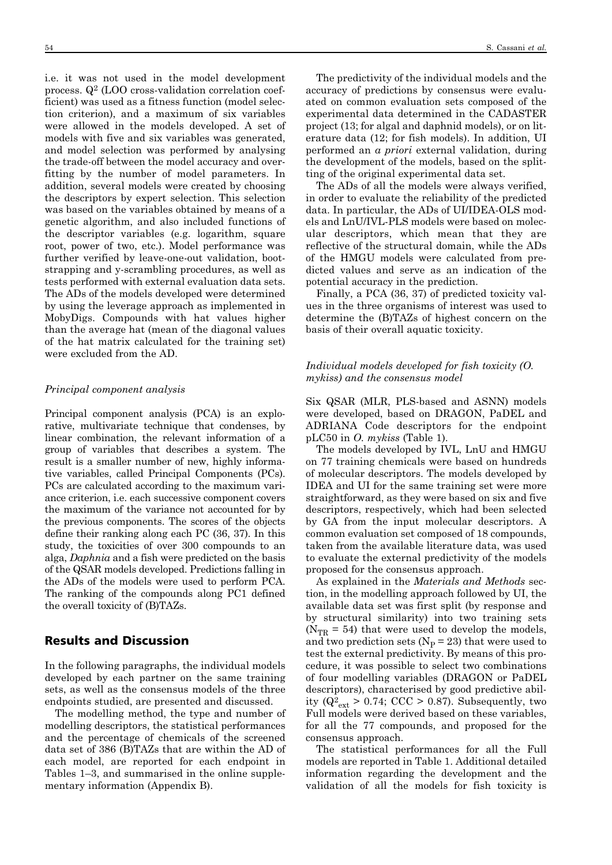i.e. it was not used in the model development process. Q2 (LOO cross-validation correlation coefficient) was used as a fitness function (model selection criterion), and a maximum of six variables were allowed in the models developed. A set of models with five and six variables was generated, and model selection was performed by analysing the trade-off between the model accuracy and overfitting by the number of model parameters. In addition, several models were created by choosing the descriptors by expert selection. This selection was based on the variables obtained by means of a genetic algorithm, and also included functions of the descriptor variables (e.g. logarithm, square root, power of two, etc.). Model performance was further verified by leave-one-out validation, bootstrapping and y-scrambling procedures, as well as tests performed with external evaluation data sets. The ADs of the models developed were determined by using the leverage approach as implemented in MobyDigs. Compounds with hat values higher than the average hat (mean of the diagonal values of the hat matrix calculated for the training set) were excluded from the AD.

#### *Principal component analysis*

Principal component analysis (PCA) is an explorative, multivariate technique that condenses, by linear combination, the relevant information of a group of variables that describes a system. The result is a smaller number of new, highly informative variables, called Principal Components (PCs). PCs are calculated according to the maximum variance criterion, i.e. each successive component covers the maximum of the variance not accounted for by the previous components. The scores of the objects define their ranking along each PC (36, 37). In this study, the toxicities of over 300 compounds to an alga, *Daphnia* and a fish were predicted on the basis of the QSAR models developed. Predictions falling in the ADs of the models were used to perform PCA. The ranking of the compounds along PC1 defined the overall toxicity of (B)TAZs.

# Results and Discussion

In the following paragraphs, the individual models developed by each partner on the same training sets, as well as the consensus models of the three endpoints studied, are presented and discussed.

The modelling method, the type and number of modelling descriptors, the statistical performances and the percentage of chemicals of the screened data set of 386 (B)TAZs that are within the AD of each model, are reported for each endpoint in Tables 1–3, and summarised in the online supplementary information (Appendix B).

The predictivity of the individual models and the accuracy of predictions by consensus were evaluated on common evaluation sets composed of the experimental data determined in the CADASTER project (13; for algal and daphnid models), or on literature data (12; for fish models). In addition, UI performed an *a priori* external validation, during the development of the models, based on the splitting of the original experimental data set.

The ADs of all the models were always verified, in order to evaluate the reliability of the predicted data. In particular, the ADs of UI/IDEA-OLS models and LnU/IVL-PLS models were based on molecular descriptors, which mean that they are reflective of the structural domain, while the ADs of the HMGU models were calculated from predicted values and serve as an indication of the potential accuracy in the prediction.

Finally, a PCA (36, 37) of predicted toxicity values in the three organisms of interest was used to determine the (B)TAZs of highest concern on the basis of their overall aquatic toxicity.

### *Individual models developed for fish toxicity (O. mykiss) and the consensus model*

Six QSAR (MLR, PLS-based and ASNN) models were developed, based on DRAGON, PaDEL and ADRIANA Code descriptors for the endpoint pLC50 in *O. mykiss* (Table 1).

The models developed by IVL, LnU and HMGU on 77 training chemicals were based on hundreds of molecular descriptors. The models developed by IDEA and UI for the same training set were more straightforward, as they were based on six and five descriptors, respectively, which had been selected by GA from the input molecular descriptors. A common evaluation set composed of 18 compounds, taken from the available literature data, was used to evaluate the external predictivity of the models proposed for the consensus approach.

As explained in the *Materials and Methods* section, in the modelling approach followed by UI, the available data set was first split (by response and by structural similarity) into two training sets ( $N_{TR}$  = 54) that were used to develop the models, and two prediction sets ( $N_P = 23$ ) that were used to test the external predictivity. By means of this procedure, it was possible to select two combinations of four modelling variables (DRAGON or PaDEL descriptors), characterised by good predictive ability ( $Q_{\text{ext}}^2 > 0.74$ ; CCC  $> 0.87$ ). Subsequently, two Full models were derived based on these variables, for all the 77 compounds, and proposed for the consensus approach.

The statistical performances for all the Full models are reported in Table 1. Additional detailed information regarding the development and the validation of all the models for fish toxicity is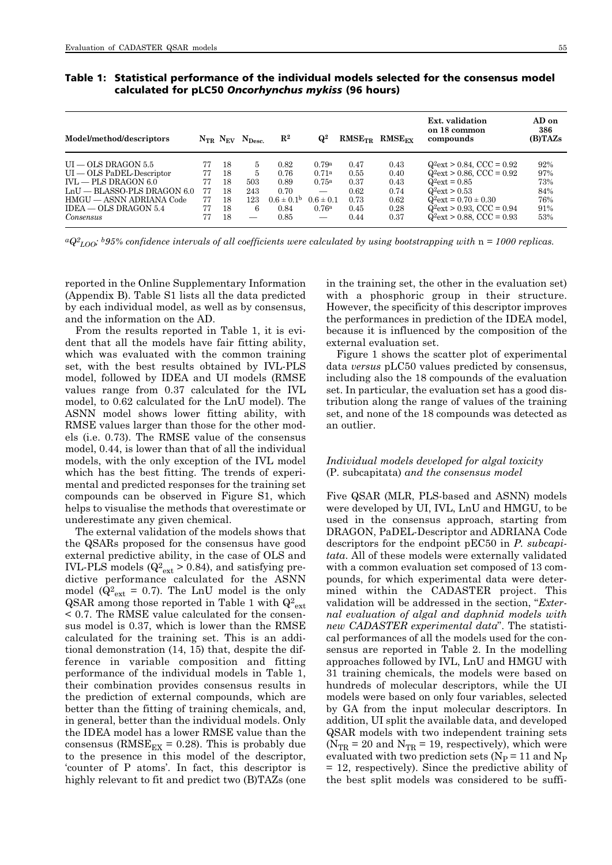| Table 1: Statistical performance of the individual models selected for the consensus model |
|--------------------------------------------------------------------------------------------|
| calculated for pLC50 Oncorhynchus mykiss (96 hours)                                        |

| Model/method/descriptors      |    |    | $N_{TR}$ $N_{EV}$ $N_{Desc.}$ | $\mathbf{R}^2$        | $\mathbf{Q}^2$           | $RMSE_{TR}$ | $RMSE_{\text{FY}}$ | Ext. validation<br>on 18 common<br>compounds | AD on<br>386<br>(B)TAZs |
|-------------------------------|----|----|-------------------------------|-----------------------|--------------------------|-------------|--------------------|----------------------------------------------|-------------------------|
| $UI - OLS DRAGON 5.5$         | 77 | 18 | 5                             | 0.82                  | 0.79a                    | 0.47        | 0.43               | $Q^2$ ext > 0.84, CCC = 0.92                 | 92%                     |
| $UI - OLS$ PaDEL-Descriptor   | 77 | 18 | 5                             | 0.76                  | 0.71a                    | 0.55        | 0.40               | $Q^2$ ext > 0.86, CCC = 0.92                 | 97%                     |
| $NU = PLS DRAGON 6.0$         | 77 | 18 | 503                           | 0.89                  | $0.75^{\rm a}$           | 0.37        | 0.43               | $Q^2$ ext = 0.85                             | 73%                     |
| $LnU = BLASSO-PLS DRAGON 6.0$ | 77 | 18 | 243                           | 0.70                  |                          | 0.62        | 0.74               | $Q^2$ ext > 0.53                             | 84%                     |
| HMGU — ASNN ADRIANA Code      | 77 | 18 | 123                           | $0.6 \pm 0.1^{\rm b}$ | $0.6 \pm 0.1$            | 0.73        | 0.62               | $Q^2$ ext = 0.70 $\pm$ 0.30                  | 76%                     |
| $IDEA - OLS DRAGON 5.4$       | 77 | 18 | 6                             | 0.84                  | 0.76 <sup>a</sup>        | 0.45        | 0.28               | $Q^2$ ext > 0.93, CCC = 0.94                 | 91%                     |
| Consensus                     | 77 | 18 |                               | 0.85                  | $\overline{\phantom{0}}$ | 0.44        | 0.37               | $Q^2$ ext > 0.88, CCC = 0.93                 | 53%                     |

*aQ2 LOO; b95% confidence intervals of all coefficients were calculated by using bootstrapping with* n *= 1000 replicas.*

reported in the Online Supplementary Information (Appendix B). Table S1 lists all the data predicted by each individual model, as well as by consensus, and the information on the AD.

From the results reported in Table 1, it is evident that all the models have fair fitting ability, which was evaluated with the common training set, with the best results obtained by IVL-PLS model, followed by IDEA and UI models (RMSE values range from 0.37 calculated for the IVL model, to 0.62 calculated for the LnU model). The ASNN model shows lower fitting ability, with RMSE values larger than those for the other models (i.e. 0.73). The RMSE value of the consensus model, 0.44, is lower than that of all the individual models, with the only exception of the IVL model which has the best fitting. The trends of experimental and predicted responses for the training set compounds can be observed in Figure S1, which helps to visualise the methods that overestimate or underestimate any given chemical.

The external validation of the models shows that the QSARs proposed for the consensus have good external predictive ability, in the case of OLS and IVL-PLS models ( $Q^2_{ext} > 0.84$ ), and satisfying predictive performance calculated for the ASNN model ( $Q_{ext}^2 = 0.7$ ). The LnU model is the only QSAR among those reported in Table 1 with  $Q^2_{ext}$ < 0.7. The RMSE value calculated for the consensus model is 0.37, which is lower than the RMSE calculated for the training set. This is an additional demonstration (14, 15) that, despite the difference in variable composition and fitting performance of the individual models in Table 1, their combination provides consensus results in the prediction of external compounds, which are better than the fitting of training chemicals, and, in general, better than the individual models. Only the IDEA model has a lower RMSE value than the consensus ( $RMSE_{EX} = 0.28$ ). This is probably due to the presence in this model of the descriptor, 'counter of P atoms'. In fact, this descriptor is highly relevant to fit and predict two (B)TAZs (one in the training set, the other in the evaluation set) with a phosphoric group in their structure. However, the specificity of this descriptor improves the performances in prediction of the IDEA model, because it is influenced by the composition of the external evaluation set.

Figure 1 shows the scatter plot of experimental data *versus* pLC50 values predicted by consensus, including also the 18 compounds of the evaluation set. In particular, the evaluation set has a good distribution along the range of values of the training set, and none of the 18 compounds was detected as an outlier.

#### *Individual models developed for algal toxicity*  (P. subcapitata) *and the consensus model*

Five QSAR (MLR, PLS-based and ASNN) models were developed by UI, IVL, LnU and HMGU, to be used in the consensus approach, starting from DRAGON, PaDEL-Descriptor and ADRIANA Code descriptors for the endpoint pEC50 in *P. subcapitata*. All of these models were externally validated with a common evaluation set composed of 13 compounds, for which experimental data were determined within the CADASTER project. This validation will be addressed in the section, "*Exter nal evaluation of algal and daphnid models with new CADASTER experimental data*". The statistical performances of all the models used for the consensus are reported in Table 2. In the modelling approaches followed by IVL, LnU and HMGU with 31 training chemicals, the models were based on hundreds of molecular descriptors, while the UI models were based on only four variables, selected by GA from the input molecular descriptors. In addition, UI split the available data, and developed QSAR models with two independent training sets ( $N_{TR}$  = 20 and  $N_{TR}$  = 19, respectively), which were evaluated with two prediction sets ( $N_P = 11$  and  $N_P$ = 12, respectively). Since the predictive ability of the best split models was considered to be suffi-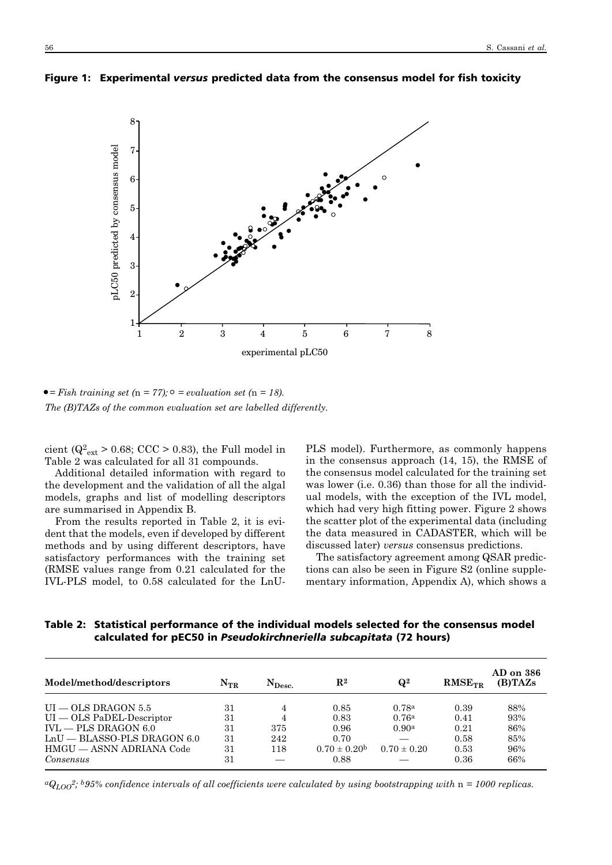

Figure 1: Experimental *versus* predicted data from the consensus model for fish toxicity

 $\bullet$  *= Fish training set (n = 77);*  $\circ$  *= evaluation set (n = 18). The (B)TAZs of the common evaluation set are labelled differently.*

cient ( $Q^2_{ext}$  > 0.68; CCC > 0.83), the Full model in Table 2 was calculated for all 31 compounds.

Additional detailed information with regard to the development and the validation of all the algal models, graphs and list of modelling descriptors are summarised in Appendix B.

From the results reported in Table 2, it is evident that the models, even if developed by different methods and by using different descriptors, have satisfactory performances with the training set (RMSE values range from 0.21 calculated for the IVL-PLS model, to 0.58 calculated for the LnU- PLS model). Furthermore, as commonly happens in the consensus approach (14, 15), the RMSE of the consensus model calculated for the training set was lower (i.e. 0.36) than those for all the individual models, with the exception of the IVL model, which had very high fitting power. Figure 2 shows the scatter plot of the experimental data (including the data measured in CADASTER, which will be discussed later) *versus* consensus predictions.

The satisfactory agreement among QSAR predictions can also be seen in Figure S2 (online supplementary information, Appendix A), which shows a

Table 2: Statistical performance of the individual models selected for the consensus model calculated for pEC50 in *Pseudokirchneriella subcapitata* (72 hours)

| Model/method/descriptors      | $\rm N_{TR}$ | ${\rm N}_{\rm Desc.}$ | $\mathbf{R}^{\mathbf{2}}$ | $\mathbf{Q}^2$  | $RMSE_{TR}$ | AD on 386<br>(B)TAZs |
|-------------------------------|--------------|-----------------------|---------------------------|-----------------|-------------|----------------------|
| $UI - OLS DRAGON 5.5$         | 31           | 4                     | 0.85                      | 0.78a           | 0.39        | 88%                  |
| $UI - OLS$ PaDEL-Descriptor   | 31           | 4                     | 0.83                      | 0.76a           | 0.41        | 93%                  |
| $IVL = PLS DRAGON 6.0$        | 31           | 375                   | 0.96                      | 0.90a           | 0.21        | 86%                  |
| $LnU - BLASSO-PLS DRAGON 6.0$ | 31           | 242                   | 0.70                      |                 | 0.58        | 85%                  |
| HMGU — ASNN ADRIANA Code      | 31           | 118                   | $0.70 \pm 0.20^{\rm b}$   | $0.70 \pm 0.20$ | 0.53        | 96%                  |
| Consensus                     | 31           |                       | 0.88                      |                 | 0.36        | 66%                  |

 $aQ_{LOO}^2$ ; *b95% confidence intervals of all coefficients were calculated by using bootstrapping with*  $n = 1000$  replicas.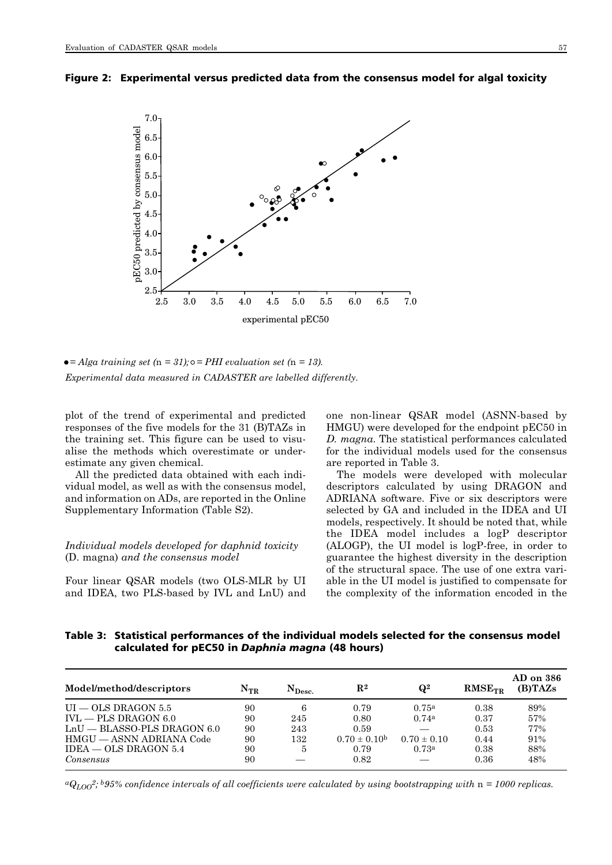



 $\bullet = Alga \ training \ set \ (n = 31); \circ = PHI \ evaluation \ set \ (n = 13).$ *Experimental data measured in CADASTER are labelled differently.*

plot of the trend of experimental and predicted responses of the five models for the 31 (B)TAZs in the training set. This figure can be used to visualise the methods which overestimate or underestimate any given chemical.

All the predicted data obtained with each individual model, as well as with the consensus model, and information on ADs, are reported in the Online Supplementary Information (Table S2).

# *Individual models developed for daphnid toxicity* (D. magna) *and the consensus model*

Four linear QSAR models (two OLS-MLR by UI and IDEA, two PLS-based by IVL and LnU) and one non-linear QSAR model (ASNN-based by HMGU) were developed for the endpoint pEC50 in *D. magna*. The statistical performances calculated for the individual models used for the consensus are reported in Table 3.

The models were developed with molecular descriptors calculated by using DRAGON and ADRIANA software. Five or six descriptors were selected by GA and included in the IDEA and UI models, respectively. It should be noted that, while the IDEA model includes a logP descriptor (ALOGP), the UI model is logP-free, in order to guarantee the highest diversity in the description of the structural space. The use of one extra variable in the UI model is justified to compensate for the complexity of the information encoded in the

Table 3: Statistical performances of the individual models selected for the consensus model calculated for pEC50 in *Daphnia magna* (48 hours)

| Model/method/descriptors      | $N_{TR}$ | $N_{\rm Desc.}$ | $\mathbf{R}^2$          | $\mathbf{Q}^2$    | $RMSE_{TR}$ | AD on 386<br>(B)TAZ <sub>s</sub> |
|-------------------------------|----------|-----------------|-------------------------|-------------------|-------------|----------------------------------|
| $UI - OLS DRAGON 5.5$         | 90       | 6               | 0.79                    | 0.75 <sup>a</sup> | 0.38        | 89%                              |
| $IVL = PLS DRAGON 6.0$        | 90       | 245             | 0.80                    | 0.74a             | 0.37        | 57%                              |
| $LnU - BLASSO-PLS DRAGON 6.0$ | 90       | 243             | 0.59                    |                   | 0.53        | 77%                              |
| HMGU — ASNN ADRIANA Code      | 90       | 132             | $0.70 \pm 0.10^{\rm b}$ | $0.70 \pm 0.10$   | 0.44        | 91%                              |
| $IDEA = OLS DRAGON 5.4$       | 90       | 5               | 0.79                    | 0.73a             | 0.38        | 88%                              |
| Consensus                     | 90       |                 | 0.82                    |                   | 0.36        | 48%                              |

 $aQ_{LOO}^2$ ; *b95%* confidence intervals of all coefficients were calculated by using bootstrapping with  $n = 1000$  replicas.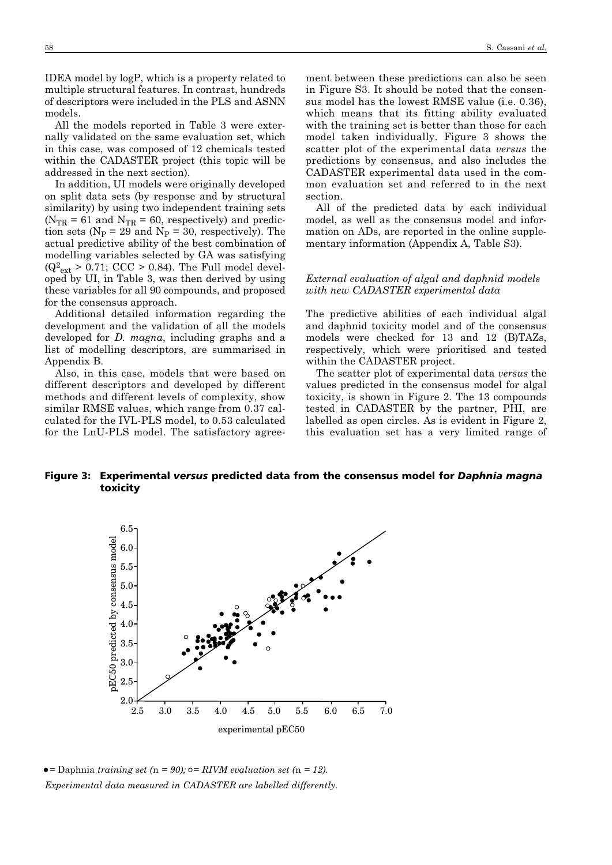IDEA model by logP, which is a property related to multiple structural features. In contrast, hundreds of descriptors were included in the PLS and ASNN models.

All the models reported in Table 3 were externally validated on the same evaluation set, which in this case, was composed of 12 chemicals tested within the CADASTER project (this topic will be addressed in the next section).

In addition, UI models were originally developed on split data sets (by response and by structural similarity) by using two independent training sets  $(N_{TR} = 61$  and  $N_{TR} = 60$ , respectively) and prediction sets ( $N_p = 29$  and  $N_p = 30$ , respectively). The actual predictive ability of the best combination of modelling variables selected by GA was satisfying  $(Q_{\text{ext}}^2 > 0.71; \text{CCC} > 0.84)$ . The Full model developed by UI, in Table 3, was then derived by using these variables for all 90 compounds, and proposed for the consensus approach.

Additional detailed information regarding the development and the validation of all the models developed for *D. magna*, including graphs and a list of modelling descriptors, are summarised in Appendix B.

Also, in this case, models that were based on different descriptors and developed by different methods and different levels of complexity, show similar RMSE values, which range from 0.37 calculated for the IVL-PLS model, to 0.53 calculated for the LnU-PLS model. The satisfactory agreement between these predictions can also be seen in Figure S3. It should be noted that the consensus model has the lowest RMSE value (i.e. 0.36), which means that its fitting ability evaluated with the training set is better than those for each model taken individually. Figure 3 shows the scatter plot of the experimental data *versus* the predictions by consensus, and also includes the CADASTER experimental data used in the common evaluation set and referred to in the next section.

All of the predicted data by each individual model, as well as the consensus model and information on ADs, are reported in the online supplementary information (Appendix A, Table S3).

### *External evaluation of algal and daphnid models with new CADASTER experimental data*

The predictive abilities of each individual algal and daphnid toxicity model and of the consensus models were checked for 13 and 12 (B)TAZs, respectively, which were prioritised and tested within the CADASTER project.

The scatter plot of experimental data *versus* the values predicted in the consensus model for algal toxicity, is shown in Figure 2. The 13 compounds tested in CADASTER by the partner, PHI, are labelled as open circles. As is evident in Figure 2, this evaluation set has a very limited range of

# Figure 3: Experimental *versus* predicted data from the consensus model for *Daphnia magna* toxicity



 $\bullet$  = Daphnia *training set* ( $n = 90$ );  $\circ$  = *RIVM evaluation set* ( $n = 12$ ). *Experimental data measured in CADASTER are labelled differently.*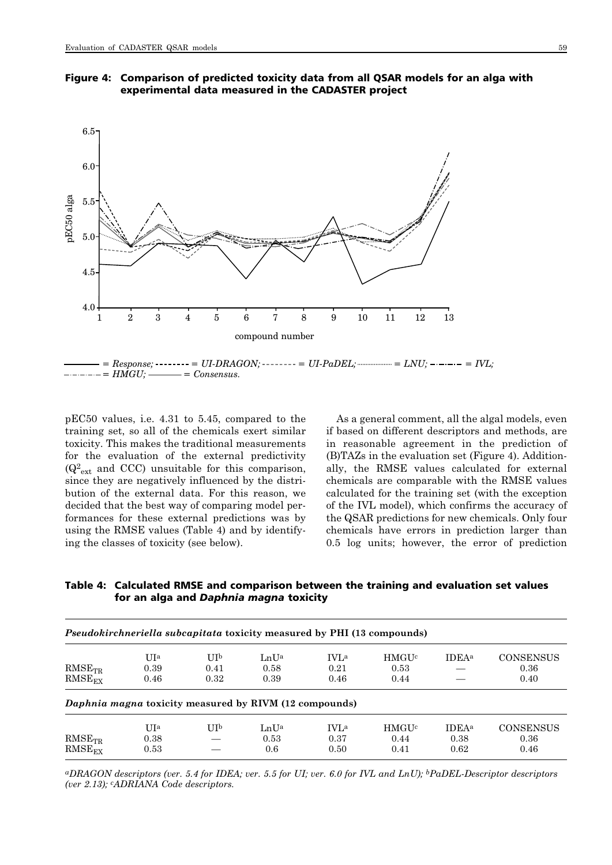Figure 4: Comparison of predicted toxicity data from all QSAR models for an alga with experimental data measured in the CADASTER project



 $\frac{1}{1 - 1}$  = Response;  $\frac{1}{2}$  = UI-DRAGON;  $\frac{1}{2}$  = UI-PaDEL;  $\frac{1}{2}$  = LNU;  $\frac{1}{2}$  =  $\frac{1}{2}$  =  $\frac{1}{2}$  =  $\frac{1}{2}$  =  $\frac{1}{2}$  =  $\frac{1}{2}$  =  $\frac{1}{2}$  =  $\frac{1}{2}$  =  $\frac{1}{2}$  =  $\frac{1}{2}$  =  $\frac{1}{2}$  =  $\$ *= HMGU; = Consensus.*

pEC50 values, i.e. 4.31 to 5.45, compared to the training set, so all of the chemicals exert similar toxicity. This makes the traditional measurements for the evaluation of the external predictivity  $(Q_{ext}^2$  and CCC) unsuitable for this comparison, since they are negatively influenced by the distribution of the external data. For this reason, we decided that the best way of comparing model performances for these external predictions was by using the RMSE values (Table 4) and by identifying the classes of toxicity (see below).

As a general comment, all the algal models, even if based on different descriptors and methods, are in reasonable agreement in the prediction of (B)TAZs in the evaluation set (Figure 4). Addition ally, the RMSE values calculated for external chemicals are comparable with the RMSE values calculated for the training set (with the exception of the IVL model), which confirms the accuracy of the QSAR predictions for new chemicals. Only four chemicals have errors in prediction larger than 0.5 log units; however, the error of prediction

Table 4: Calculated RMSE and comparison between the training and evaluation set values for an alga and *Daphnia magna* toxicity

| <i>Pseudokirchneriella subcapitata toxicity measured by PHI (13 compounds)</i> |                     |                     |                                                        |                             |                                         |                                          |                                  |  |  |  |
|--------------------------------------------------------------------------------|---------------------|---------------------|--------------------------------------------------------|-----------------------------|-----------------------------------------|------------------------------------------|----------------------------------|--|--|--|
| $RMSE_{TR}$<br>$RMSE_{EX}$                                                     | UIa<br>0.39<br>0.46 | UIp<br>0.41<br>0.32 | LnUa<br>0.58<br>0.39                                   | <b>IVLa</b><br>0.21<br>0.46 | <b>HMGU<sup>c</sup></b><br>0.53<br>0.44 | <b>IDEA</b> <sup>a</sup>                 | <b>CONSENSUS</b><br>0.36<br>0.40 |  |  |  |
|                                                                                |                     |                     | Daphnia magna toxicity measured by RIVM (12 compounds) |                             |                                         |                                          |                                  |  |  |  |
| $RMSE_{TR}$<br>$RMSE_{EX}$                                                     | UIa<br>0.38<br>0.53 | $_{\rm{UIb}}$       | LnUa<br>0.53<br>0.6                                    | <b>IVLa</b><br>0.37<br>0.50 | <b>HMGU<sup>c</sup></b><br>0.44<br>0.41 | <b>IDEA</b> <sup>a</sup><br>0.38<br>0.62 | <b>CONSENSUS</b><br>0.36<br>0.46 |  |  |  |

*aDRAGON descriptors (ver. 5.4 for IDEA; ver. 5.5 for UI; ver. 6.0 for IVL and LnU); bPaDEL-Descriptor descriptors (ver 2.13); cADRIANA Code descriptors.*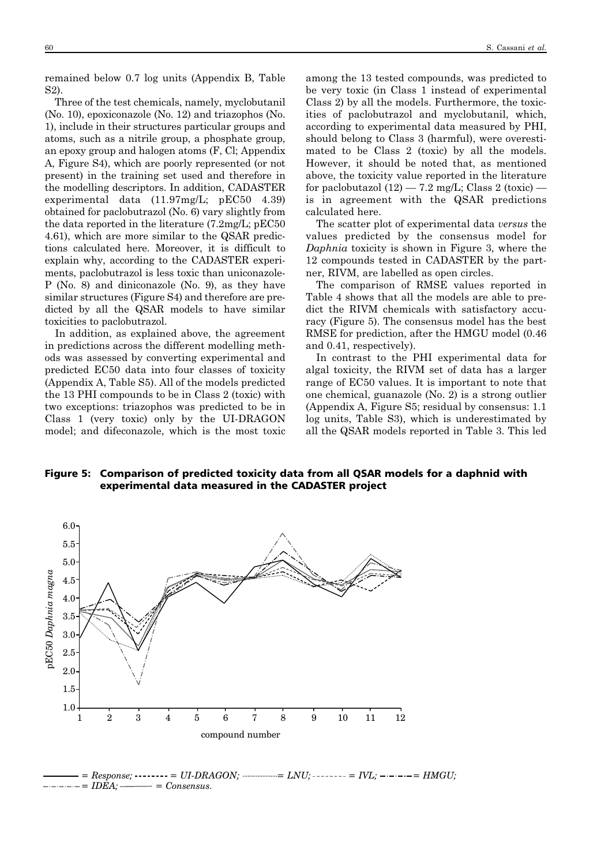remained below 0.7 log units (Appendix B, Table S2).

Three of the test chemicals, namely, myclobutanil (No. 10), epoxiconazole (No. 12) and triazophos (No. 1), include in their structures particular groups and atoms, such as a nitrile group, a phosphate group, an epoxy group and halogen atoms (F, Cl; Appendix A, Figure S4), which are poorly represented (or not present) in the training set used and therefore in the modelling descriptors. In addition, CADASTER experimental data (11.97mg/L; pEC50 4.39) obtained for paclobutrazol (No. 6) vary slightly from the data reported in the literature (7.2mg/L; pEC50 4.61), which are more similar to the QSAR predictions calculated here. Moreover, it is difficult to explain why, according to the CADASTER experiments, paclobutrazol is less toxic than uniconazole-P (No. 8) and diniconazole (No. 9), as they have similar structures (Figure S4) and therefore are predicted by all the QSAR models to have similar toxicities to paclobutrazol.

In addition, as explained above, the agreement in predictions across the different modelling methods was assessed by converting experimental and predicted EC50 data into four classes of toxicity (Appendix A, Table S5). All of the models predicted the 13 PHI compounds to be in Class 2 (toxic) with two exceptions: triazophos was predicted to be in Class 1 (very toxic) only by the UI-DRAGON model; and difeconazole, which is the most toxic among the 13 tested compounds, was predicted to be very toxic (in Class 1 instead of experimental Class 2) by all the models. Furthermore, the toxicities of paclobutrazol and myclobutanil, which, according to experimental data measured by PHI, should belong to Class 3 (harmful), were overestimated to be Class 2 (toxic) by all the models. However, it should be noted that, as mentioned above, the toxicity value reported in the literature for paclobutazol  $(12) - 7.2$  mg/L; Class 2 (toxic)  $$ is in agreement with the QSAR predictions calculated here.

The scatter plot of experimental data *versus* the values predicted by the consensus model for *Daphnia* toxicity is shown in Figure 3, where the 12 compounds tested in CADASTER by the partner, RIVM, are labelled as open circles.

The comparison of RMSE values reported in Table 4 shows that all the models are able to predict the RIVM chemicals with satisfactory accuracy (Figure 5). The consensus model has the best RMSE for prediction, after the HMGU model (0.46 and 0.41, respectively).

In contrast to the PHI experimental data for algal toxicity, the RIVM set of data has a larger range of EC50 values. It is important to note that one chemical, guanazole (No. 2) is a strong outlier (Appendix A, Figure S5; residual by consensus: 1.1 log units, Table S3), which is underestimated by all the QSAR models reported in Table 3. This led

Figure 5: Comparison of predicted toxicity data from all QSAR models for a daphnid with experimental data measured in the CADASTER project



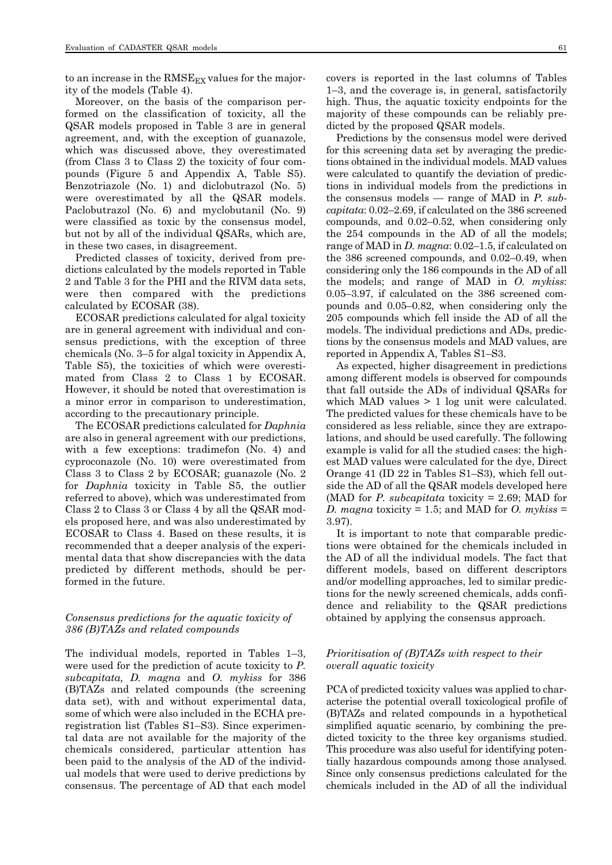to an increase in the  $RMSE_{EX}$  values for the majority of the models (Table 4).

Moreover, on the basis of the comparison performed on the classification of toxicity, all the QSAR models proposed in Table 3 are in general agreement, and, with the exception of guanazole, which was discussed above, they overestimated (from Class 3 to Class 2) the toxicity of four compounds (Figure 5 and Appendix A, Table S5). Benzotriazole (No. 1) and diclobutrazol (No. 5) were overestimated by all the QSAR models. Paclobutrazol (No. 6) and myclobutanil (No. 9) were classified as toxic by the consensus model, but not by all of the individual QSARs, which are, in these two cases, in disagreement.

Predicted classes of toxicity, derived from predictions calculated by the models reported in Table 2 and Table 3 for the PHI and the RIVM data sets, were then compared with the predictions calculated by ECOSAR (38).

ECOSAR predictions calculated for algal toxicity are in general agreement with individual and consensus predictions, with the exception of three chemicals (No. 3–5 for algal toxicity in Appendix A, Table S5), the toxicities of which were overestimated from Class 2 to Class 1 by ECOSAR. However, it should be noted that overestimation is a minor error in comparison to underestimation, according to the precautionary principle.

The ECOSAR predictions calculated for *Daphnia* are also in general agreement with our predictions, with a few exceptions: tradimefon (No. 4) and cyproconazole (No. 10) were overestimated from Class 3 to Class 2 by ECOSAR; guanazole (No. 2 for *Daphnia* toxicity in Table S5, the outlier referred to above), which was underestimated from Class 2 to Class 3 or Class 4 by all the QSAR models proposed here, and was also underestimated by ECOSAR to Class 4. Based on these results, it is recommended that a deeper analysis of the experimental data that show discrepancies with the data predicted by different methods, should be performed in the future.

# *Consensus predictions for the aquatic toxicity of 386 (B)TAZs and related compounds*

The individual models, reported in Tables 1–3, were used for the prediction of acute toxicity to *P. subcapitata, D. magna* and *O. mykiss* for 386 (B)TAZs and related compounds (the screening data set), with and without experimental data, some of which were also included in the ECHA preregistration list (Tables S1–S3). Since experimental data are not available for the majority of the chemicals considered, particular attention has been paid to the analysis of the AD of the individual models that were used to derive predictions by consensus. The percentage of AD that each model covers is reported in the last columns of Tables 1–3, and the coverage is, in general, satisfactorily high. Thus, the aquatic toxicity endpoints for the majority of these compounds can be reliably predicted by the proposed QSAR models.

Predictions by the consensus model were derived for this screening data set by averaging the predictions obtained in the individual models. MAD values were calculated to quantify the deviation of predictions in individual models from the predictions in the consensus models — range of MAD in *P. subcapitata*: 0.02–2.69, if calculated on the 386 screened compounds, and 0.02–0.52, when considering only the 254 compounds in the AD of all the models; range of MAD in *D. magna*: 0.02–1.5, if calculated on the 386 screened compounds, and 0.02–0.49, when considering only the 186 compounds in the AD of all the models; and range of MAD in *O. mykiss*: 0.05–3.97, if calculated on the 386 screened compounds and 0.05–0.82, when considering only the 205 compounds which fell inside the AD of all the models. The individual predictions and ADs, predictions by the consensus models and MAD values, are reported in Appendix A, Tables S1–S3.

As expected, higher disagreement in predictions among different models is observed for compounds that fall outside the ADs of individual QSARs for which MAD values  $> 1$  log unit were calculated. The predicted values for these chemicals have to be considered as less reliable, since they are extrapolations, and should be used carefully. The following example is valid for all the studied cases: the highest MAD values were calculated for the dye, Direct Orange 41 (ID 22 in Tables S1–S3), which fell outside the AD of all the QSAR models developed here (MAD for *P. subcapitata* toxicity = 2.69; MAD for *D. magna* toxicity = 1.5; and MAD for *O. mykiss* = 3.97).

It is important to note that comparable predictions were obtained for the chemicals included in the AD of all the individual models. The fact that different models, based on different descriptors and/or modelling approaches, led to similar predictions for the newly screened chemicals, adds confidence and reliability to the QSAR predictions obtained by applying the consensus approach.

# *Prioritisation of (B)TAZs with respect to their overall aquatic toxicity*

PCA of predicted toxicity values was applied to characterise the potential overall toxicological profile of (B)TAZs and related compounds in a hypothetical simplified aquatic scenario, by combining the predicted toxicity to the three key organisms studied. This procedure was also useful for identifying potentially hazardous compounds among those analysed. Since only consensus predictions calculated for the chemicals included in the AD of all the individual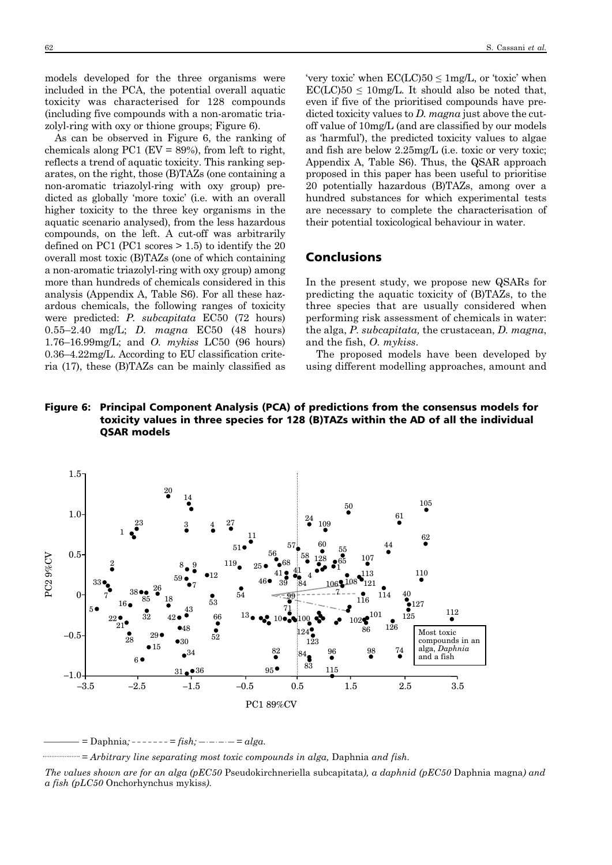models developed for the three organisms were included in the PCA, the potential overall aquatic toxicity was characterised for 128 compounds (including five compounds with a non-aromatic triazolyl-ring with oxy or thione groups; Figure 6).

As can be observed in Figure 6, the ranking of chemicals along PC1 ( $EV = 89\%$ ), from left to right, reflects a trend of aquatic toxicity. This ranking separates, on the right, those (B)TAZs (one containing a non-aromatic triazolyl-ring with oxy group) predicted as globally 'more toxic' (i.e. with an overall higher toxicity to the three key organisms in the aquatic scenario analysed), from the less hazardous compounds, on the left. A cut-off was arbitrarily defined on PC1 (PC1 scores  $> 1.5$ ) to identify the 20 overall most toxic (B)TAZs (one of which containing a non-aromatic triazolyl-ring with oxy group) among more than hundreds of chemicals considered in this analysis (Appendix A, Table S6). For all these hazardous chemicals, the following ranges of toxicity were predicted: *P. subcapitata* EC50 (72 hours) 0.55–2.40 mg/L; *D. magna* EC50 (48 hours) 1.76–16.99mg/L; and *O. mykiss* LC50 (96 hours) 0.36–4.22mg/L. According to EU classification criteria (17), these (B)TAZs can be mainly classified as

'very toxic' when  $\text{EC}(LC)50 \leq 1 \text{mg/L}$ , or 'toxic' when  $\text{EC}(LC)$ 50  $\leq$  10mg/L. It should also be noted that, even if five of the prioritised compounds have predicted toxicity values to *D. magna* just above the cutoff value of 10mg/L (and are classified by our models as 'harmful'), the predicted toxicity values to algae and fish are below 2.25mg/L (i.e. toxic or very toxic; Appendix A, Table S6). Thus, the QSAR approach proposed in this paper has been useful to prioritise 20 potentially hazardous (B)TAZs, among over a hundred substances for which experimental tests are necessary to complete the characterisation of their potential toxicological behaviour in water.

# Conclusions

In the present study, we propose new QSARs for predicting the aquatic toxicity of (B)TAZs, to the three species that are usually considered when performing risk assessment of chemicals in water: the alga, *P. subcapitata,* the crustacean, *D. magna*, and the fish, *O. mykiss*.

The proposed models have been developed by using different modelling approaches, amount and

# Figure 6: Principal Component Analysis (PCA) of predictions from the consensus models for toxicity values in three species for 128 (B)TAZs within the AD of all the individual QSAR models



 $=$  Daphnia*;*  $--- =$  *fish;*  $--- =$   $alga$ .

*= Arbitrary line separating most toxic compounds in alga,* Daphnia *and fish.*

*The values shown are for an alga (pEC50* Pseudokirchneriella subcapitata*), a daphnid (pEC50* Daphnia magna*) and a fish (pLC50* Onchorhynchus mykiss*).*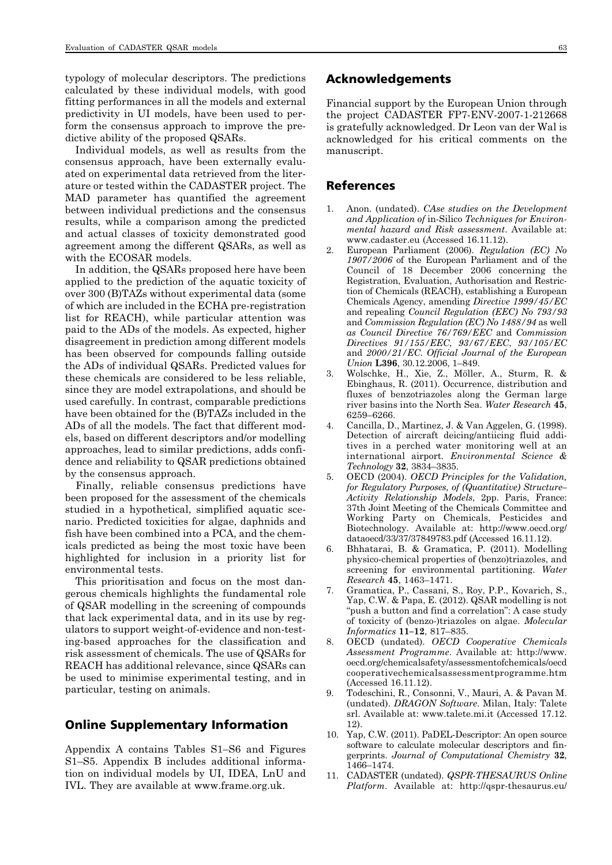typology of molecular descriptors. The predictions calculated by these individual models, with good fitting performances in all the models and external predictivity in UI models, have been used to perform the consensus approach to improve the predictive ability of the proposed QSARs.

Individual models, as well as results from the consensus approach, have been externally evaluated on experimental data retrieved from the literature or tested within the CADASTER project. The MAD parameter has quantified the agreement between individual predictions and the consensus results, while a comparison among the predicted and actual classes of toxicity demonstrated good agreement among the different QSARs, as well as with the ECOSAR models.

In addition, the QSARs proposed here have been applied to the prediction of the aquatic toxicity of over 300 (B)TAZs without experimental data (some of which are included in the ECHA pre-registration list for REACH), while particular attention was paid to the ADs of the models. As expected, higher disagreement in prediction among different models has been observed for compounds falling outside the ADs of individual QSARs. Predicted values for these chemicals are considered to be less reliable, since they are model extrapolations, and should be used carefully. In contrast, comparable predictions have been obtained for the (B)TAZs included in the ADs of all the models. The fact that different models, based on different descriptors and/or modelling approaches, lead to similar predictions, adds confidence and reliability to QSAR predictions obtained by the consensus approach.

Finally, reliable consensus predictions have been proposed for the assessment of the chemicals studied in a hypothetical, simplified aquatic scenario. Predicted toxicities for algae, daphnids and fish have been combined into a PCA, and the chemicals predicted as being the most toxic have been highlighted for inclusion in a priority list for environmental tests.

This prioritisation and focus on the most dangerous chemicals highlights the fundamental role of QSAR modelling in the screening of compounds that lack experimental data, and in its use by regulators to support weight-of-evidence and non-testing-based approaches for the classification and risk assessment of chemicals. The use of QSARs for REACH has additional relevance, since QSARs can be used to minimise experimental testing, and in particular, testing on animals.

# Online Supplementary Information

Appendix A contains Tables S1–S6 and Figures S1–S5. Appendix B includes additional information on individual models by UI, IDEA, LnU and IVL. They are available at www.frame.org.uk.

# Acknowledgements

Financial support by the European Union through the project CADASTER FP7-ENV-2007-1-212668 is gratefully acknowledged. Dr Leon van der Wal is acknowledged for his critical comments on the manuscript.

### References

- 1. Anon. (undated). *CAse studies on the Development and Application of* in-Silico *Techniques for Environ mental hazard and Risk assessment*. Available at: www.cadaster.eu (Accessed 16.11.12).
- 2. European Parliament (2006). *Regulation (EC) No 1907/2006* of the European Parliament and of the Council of 18 December 2006 concerning the Registration, Evaluation, Authorisation and Restric tion of Chemicals (REACH), establishing a European Chemicals Agency, amending *Directive 1999/45/EC* and repealing *Council Regulation (EEC) No 793/93* and *Commission Regulation (EC) No 1488/94* as well *as Council Directive 76/769/EEC* and *Commission Directives 91/155/EEC*, *93/67/EEC*, *93/105/EC* and *2000/21/EC*. *Official Journal of the European Union* **L396**, 30.12.2006, 1–849.
- 3. Wolschke, H., Xie, Z., Möller, A., Sturm, R. & Ebinghaus, R. (2011). Occurrence, distribution and fluxes of benzotriazoles along the German large river basins into the North Sea. *Water Research* **45**, 6259–6266.
- 4. Cancilla, D., Martinez, J. & Van Aggelen, G. (1998). Detection of aircraft deicing/antiicing fluid additives in a perched water monitoring well at an international airport*. Environmental Science & Tech nology* **32**, 3834–3835.
- 5. OECD (2004). *OECD Principles for the Validation, for Regulatory Purposes, of (Quantitative) Structure– Activity Relationship Models*, 2pp. Paris, France: 37th Joint Meeting of the Chemicals Committee and Working Party on Chemicals, Pesticides and Biotechnology. Available at: http://www.oecd.org/ dataoecd/33/37/37849783.pdf (Accessed 16.11.12).
- 6. Bhhatarai, B. & Gramatica, P. (2011). Modelling physico-chemical properties of (benzo)triazoles, and screening for environmental partitioning. *Water Research* **45**, 1463–1471.
- 7. Gramatica, P., Cassani, S., Roy, P.P., Kovarich, S., Yap, C.W. & Papa, E. (2012). QSAR modelling is not "push a button and find a correlation": A case study of toxicity of (benzo-)triazoles on algae. *Molecular Informatics* **11–12**, 817–835.
- 8. OECD (undated). *OECD Cooperative Chemicals Assessment Programme*. Available at: http://www. oecd.org/chemicalsafety/assessmentofchemicals/oecd cooperativechemicalsassessmentprogramme.htm (Accessed 16.11.12).
- 9. Todeschini, R., Consonni, V., Mauri, A. & Pavan M. (undated). *DRAGON Software*. Milan, Italy: Talete srl. Available at: www.talete.mi.it (Accessed 17.12. 12).
- 10. Yap, C.W. (2011). PaDEL-Descriptor: An open source software to calculate molecular descriptors and fingerprints. *Journal of Computational Chemistry* **32**, 1466–1474.
- 11. CADASTER (undated). *QSPR-THESAURUS Online Platform*. Available at: http://qspr-thesaurus.eu/